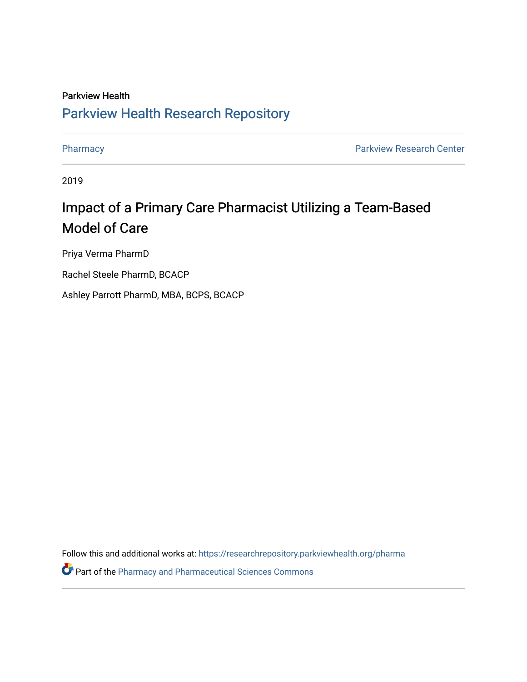### Parkview Health [Parkview Health Research Repository](https://researchrepository.parkviewhealth.org/)

[Pharmacy](https://researchrepository.parkviewhealth.org/pharma) **Pharmacy Pharmacy Pharmacy Pharmacy Pharmacy Pharmacy Pharmacy Pharmacy Pharmacy Pharmacy Pharmacy Pharmacy Pharmacy Pharmacy Pharmacy Pharmacy Pharmacy Pharmacy Pharmacy Pha** 

2019

### Impact of a Primary Care Pharmacist Utilizing a Team-Based Model of Care

Priya Verma PharmD

Rachel Steele PharmD, BCACP

Ashley Parrott PharmD, MBA, BCPS, BCACP

Follow this and additional works at: [https://researchrepository.parkviewhealth.org/pharma](https://researchrepository.parkviewhealth.org/pharma?utm_source=researchrepository.parkviewhealth.org%2Fpharma%2F37&utm_medium=PDF&utm_campaign=PDFCoverPages) 

**P** Part of the [Pharmacy and Pharmaceutical Sciences Commons](http://network.bepress.com/hgg/discipline/731?utm_source=researchrepository.parkviewhealth.org%2Fpharma%2F37&utm_medium=PDF&utm_campaign=PDFCoverPages)